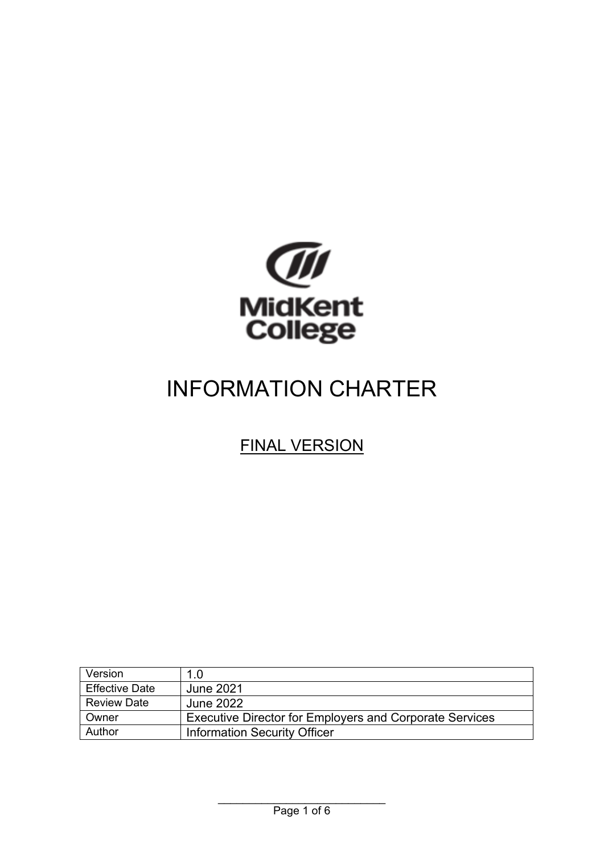

# INFORMATION CHARTER

#### FINAL VERSION

| Version               | 1.0                                                            |
|-----------------------|----------------------------------------------------------------|
| <b>Effective Date</b> | June 2021                                                      |
| <b>Review Date</b>    | June 2022                                                      |
| Owner                 | <b>Executive Director for Employers and Corporate Services</b> |
| Author                | <b>Information Security Officer</b>                            |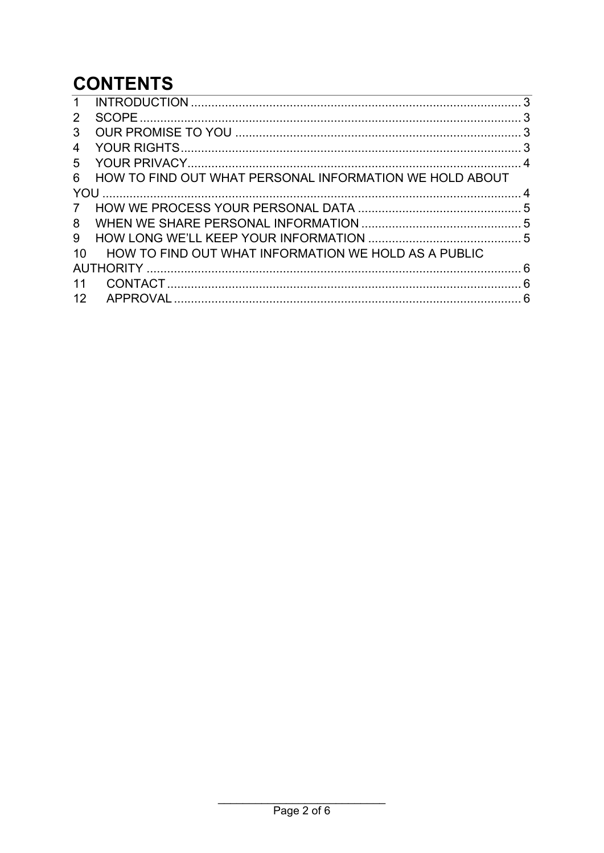# **CONTENTS**

| 1             |                                                         |  |
|---------------|---------------------------------------------------------|--|
| 2             |                                                         |  |
| 3             |                                                         |  |
| 4             |                                                         |  |
| 5             |                                                         |  |
| 6             | HOW TO FIND OUT WHAT PERSONAL INFORMATION WE HOLD ABOUT |  |
| YOU           |                                                         |  |
| $\mathcal{I}$ |                                                         |  |
| 8             |                                                         |  |
| 9             |                                                         |  |
| 10            | HOW TO FIND OUT WHAT INFORMATION WE HOLD AS A PUBLIC    |  |
|               |                                                         |  |
| 11            |                                                         |  |
| 12            |                                                         |  |
|               |                                                         |  |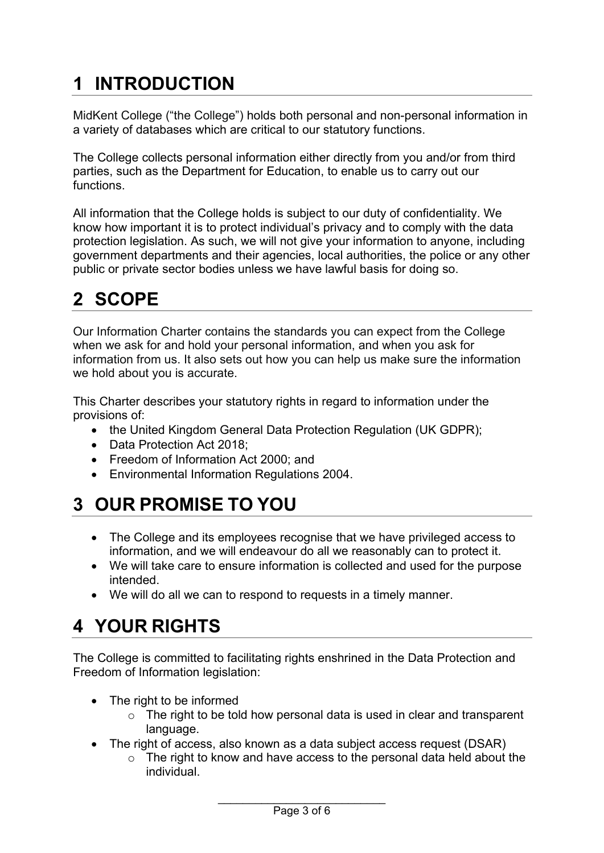# <span id="page-2-0"></span>**1 INTRODUCTION**

MidKent College ("the College") holds both personal and non-personal information in a variety of databases which are critical to our statutory functions.

The College collects personal information either directly from you and/or from third parties, such as the Department for Education, to enable us to carry out our functions.

All information that the College holds is subject to our duty of confidentiality. We know how important it is to protect individual's privacy and to comply with the data protection legislation. As such, we will not give your information to anyone, including government departments and their agencies, local authorities, the police or any other public or private sector bodies unless we have lawful basis for doing so.

# <span id="page-2-1"></span>**2 SCOPE**

Our Information Charter contains the standards you can expect from the College when we ask for and hold your personal information, and when you ask for information from us. It also sets out how you can help us make sure the information we hold about you is accurate.

This Charter describes your statutory rights in regard to information under the provisions of:

- the United Kingdom General Data Protection Regulation (UK GDPR);
- Data Protection Act 2018;
- Freedom of Information Act 2000; and
- Environmental Information Regulations 2004.

## <span id="page-2-2"></span>**3 OUR PROMISE TO YOU**

- The College and its employees recognise that we have privileged access to information, and we will endeavour do all we reasonably can to protect it.
- We will take care to ensure information is collected and used for the purpose intended.
- We will do all we can to respond to requests in a timely manner.

## <span id="page-2-3"></span>**4 YOUR RIGHTS**

The College is committed to facilitating rights enshrined in the Data Protection and Freedom of Information legislation:

- The right to be informed
	- $\circ$  The right to be told how personal data is used in clear and transparent language.
- The right of access, also known as a data subject access request (DSAR)
	- $\circ$  The right to know and have access to the personal data held about the individual.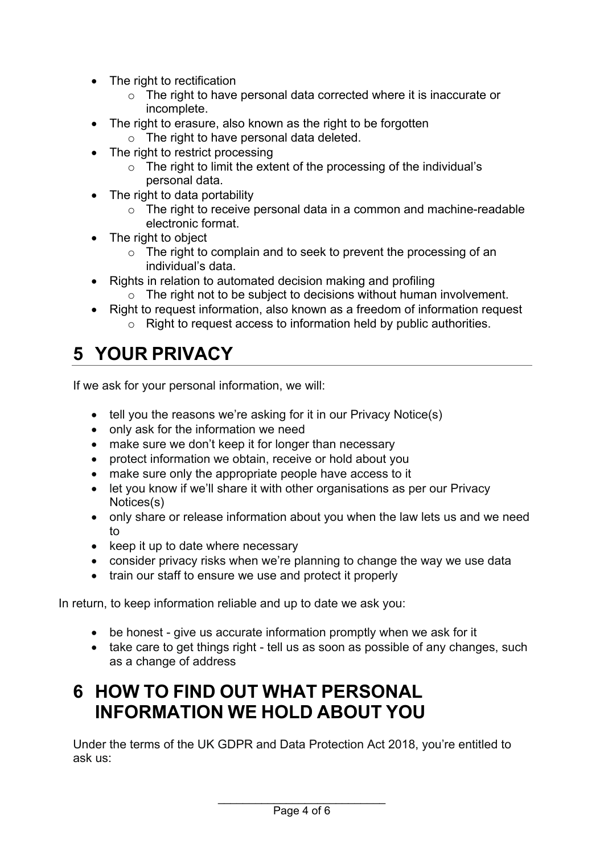- The right to rectification
	- o The right to have personal data corrected where it is inaccurate or incomplete.
- The right to erasure, also known as the right to be forgotten
- o The right to have personal data deleted.
- The right to restrict processing
	- $\circ$  The right to limit the extent of the processing of the individual's personal data.
- The right to data portability
	- o The right to receive personal data in a common and machine-readable electronic format.
- The right to object
	- $\circ$  The right to complain and to seek to prevent the processing of an individual's data.
- Rights in relation to automated decision making and profiling
	- o The right not to be subject to decisions without human involvement.
- Right to request information, also known as a freedom of information request o Right to request access to information held by public authorities.

# <span id="page-3-0"></span>**5 YOUR PRIVACY**

If we ask for your personal information, we will:

- tell you the reasons we're asking for it in our Privacy Notice(s)
- only ask for the information we need
- make sure we don't keep it for longer than necessary
- protect information we obtain, receive or hold about you
- make sure only the appropriate people have access to it
- let you know if we'll share it with other organisations as per our Privacy Notices(s)
- only share or release information about you when the law lets us and we need to
- keep it up to date where necessary
- consider privacy risks when we're planning to change the way we use data
- train our staff to ensure we use and protect it properly

In return, to keep information reliable and up to date we ask you:

- be honest give us accurate information promptly when we ask for it
- take care to get things right tell us as soon as possible of any changes, such as a change of address

#### <span id="page-3-1"></span>**6 HOW TO FIND OUT WHAT PERSONAL INFORMATION WE HOLD ABOUT YOU**

Under the terms of the UK GDPR and Data Protection Act 2018, you're entitled to ask us: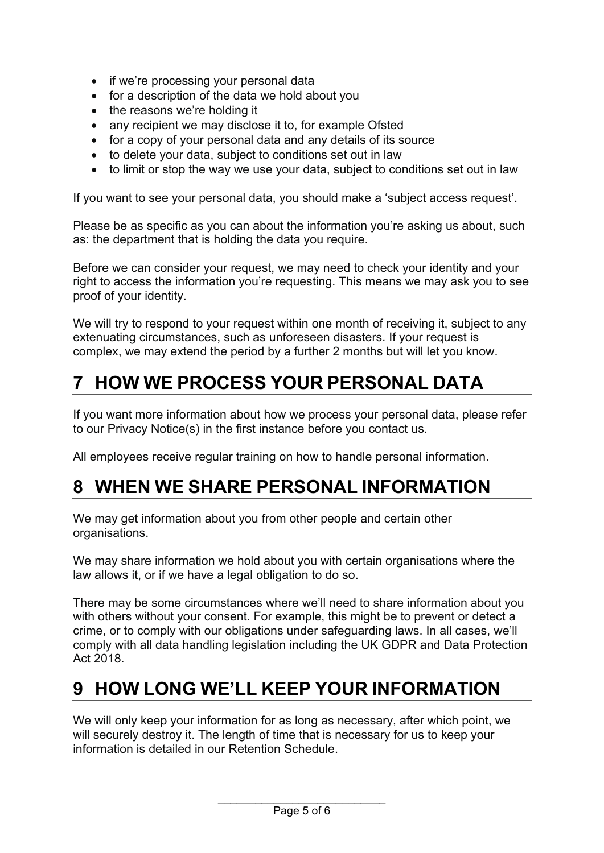- if we're processing your personal data
- for a description of the data we hold about you
- the reasons we're holding it
- any recipient we may disclose it to, for example Ofsted
- for a copy of your personal data and any details of its source
- to delete your data, subject to conditions set out in law
- to limit or stop the way we use your data, subject to conditions set out in law

If you want to see your personal data, you should make a 'subject access request'.

Please be as specific as you can about the information you're asking us about, such as: the department that is holding the data you require.

Before we can consider your request, we may need to check your identity and your right to access the information you're requesting. This means we may ask you to see proof of your identity.

We will try to respond to your request within one month of receiving it, subject to any extenuating circumstances, such as unforeseen disasters. If your request is complex, we may extend the period by a further 2 months but will let you know.

## <span id="page-4-0"></span>**7 HOW WE PROCESS YOUR PERSONAL DATA**

If you want more information about how we process your personal data, please refer to our Privacy Notice(s) in the first instance before you contact us.

All employees receive regular training on how to handle personal information.

#### <span id="page-4-1"></span>**8 WHEN WE SHARE PERSONAL INFORMATION**

We may get information about you from other people and certain other organisations.

We may share information we hold about you with certain organisations where the law allows it, or if we have a legal obligation to do so.

There may be some circumstances where we'll need to share information about you with others without your consent. For example, this might be to prevent or detect a crime, or to comply with our obligations under safeguarding laws. In all cases, we'll comply with all data handling legislation including the UK GDPR and Data Protection Act 2018.

#### <span id="page-4-2"></span>**9 HOW LONG WE'LL KEEP YOUR INFORMATION**

We will only keep your information for as long as necessary, after which point, we will securely destroy it. The length of time that is necessary for us to keep your information is detailed in our Retention Schedule.